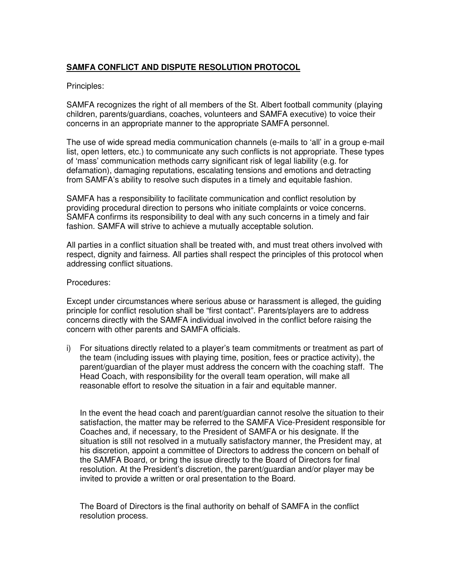## **SAMFA CONFLICT AND DISPUTE RESOLUTION PROTOCOL**

## Principles:

SAMFA recognizes the right of all members of the St. Albert football community (playing children, parents/guardians, coaches, volunteers and SAMFA executive) to voice their concerns in an appropriate manner to the appropriate SAMFA personnel.

The use of wide spread media communication channels (e-mails to 'all' in a group e-mail list, open letters, etc.) to communicate any such conflicts is not appropriate. These types of 'mass' communication methods carry significant risk of legal liability (e.g. for defamation), damaging reputations, escalating tensions and emotions and detracting from SAMFA's ability to resolve such disputes in a timely and equitable fashion.

SAMFA has a responsibility to facilitate communication and conflict resolution by providing procedural direction to persons who initiate complaints or voice concerns. SAMFA confirms its responsibility to deal with any such concerns in a timely and fair fashion. SAMFA will strive to achieve a mutually acceptable solution.

All parties in a conflict situation shall be treated with, and must treat others involved with respect, dignity and fairness. All parties shall respect the principles of this protocol when addressing conflict situations.

## Procedures:

Except under circumstances where serious abuse or harassment is alleged, the guiding principle for conflict resolution shall be "first contact". Parents/players are to address concerns directly with the SAMFA individual involved in the conflict before raising the concern with other parents and SAMFA officials.

i) For situations directly related to a player's team commitments or treatment as part of the team (including issues with playing time, position, fees or practice activity), the parent/guardian of the player must address the concern with the coaching staff. The Head Coach, with responsibility for the overall team operation, will make all reasonable effort to resolve the situation in a fair and equitable manner.

In the event the head coach and parent/guardian cannot resolve the situation to their satisfaction, the matter may be referred to the SAMFA Vice-President responsible for Coaches and, if necessary, to the President of SAMFA or his designate. If the situation is still not resolved in a mutually satisfactory manner, the President may, at his discretion, appoint a committee of Directors to address the concern on behalf of the SAMFA Board, or bring the issue directly to the Board of Directors for final resolution. At the President's discretion, the parent/guardian and/or player may be invited to provide a written or oral presentation to the Board.

The Board of Directors is the final authority on behalf of SAMFA in the conflict resolution process.